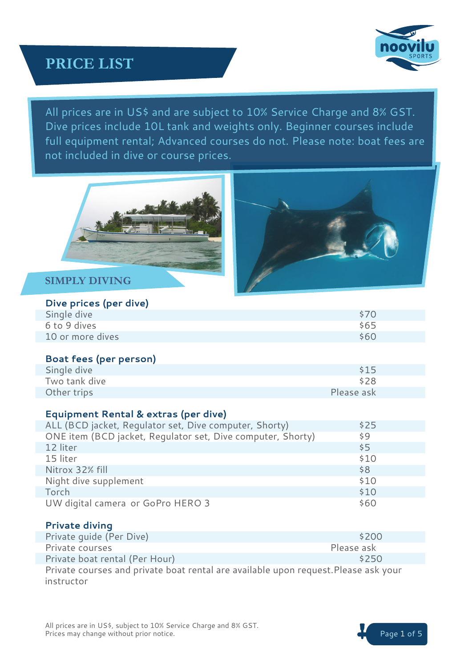

All prices are in US\$ and are subject to 10% Service Charge and 8% GST. Dive prices include 10L tank and weights only. Beginner courses include full equipment rental; Advanced courses do not. Please note: boat fees are not included in dive or course prices.





## **SIMPLY DIVING**

### **Dive prices (per dive)**

| Single dive      |  | \$70 |
|------------------|--|------|
| 6 to 9 dives     |  | \$65 |
| 10 or more dives |  | \$60 |

#### **Boat fees (per person)**

| Single dive   | \$15       |
|---------------|------------|
| Two tank dive | \$28       |
| Other trips   | Please ask |

#### **Equipment Rental & extras (per dive)**

| ALL (BCD jacket, Regulator set, Dive computer, Shorty)      | \$25 |
|-------------------------------------------------------------|------|
| ONE item (BCD jacket, Regulator set, Dive computer, Shorty) | \$9  |
| 12 liter                                                    | \$5  |
| 15 liter                                                    | \$10 |
| Nitrox 32% fill                                             | \$8  |
| Night dive supplement                                       | \$10 |
| Torch                                                       | \$10 |
| UW digital camera or GoPro HERO 3                           | \$60 |

#### **Private diving**

| Private quide (Per Dive)                                                            | \$200      |  |  |  |
|-------------------------------------------------------------------------------------|------------|--|--|--|
| Private courses                                                                     | Please ask |  |  |  |
| Private boat rental (Per Hour)                                                      | \$250      |  |  |  |
| Private courses and private boat rental are available upon request. Please ask your |            |  |  |  |
| instructor                                                                          |            |  |  |  |

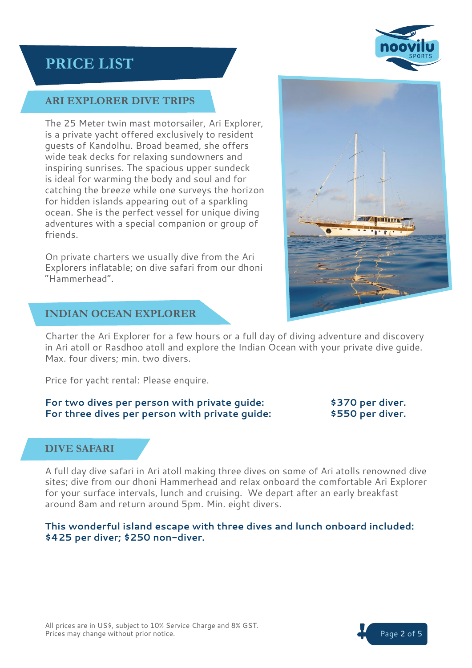

# **ARI EXPLORER DIVE TRIPS**

The 25 Meter twin mast motorsailer, Ari Explorer, is a private yacht offered exclusively to resident guests of Kandolhu. Broad beamed, she offers wide teak decks for relaxing sundowners and inspiring sunrises. The spacious upper sundeck is ideal for warming the body and soul and for catching the breeze while one surveys the horizon for hidden islands appearing out of a sparkling ocean. She is the perfect vessel for unique diving adventures with a special companion or group of friends.

On private charters we usually dive from the Ari Explorers inflatable; on dive safari from our dhoni "Hammerhead".



# **INDIAN OCEAN EXPLORER**

Charter the Ari Explorer for a few hours or a full day of diving adventure and discovery in Ari atoll or Rasdhoo atoll and explore the Indian Ocean with your private dive guide. Max. four divers; min. two divers.

Price for yacht rental: Please enquire.

#### **For two dives per person with private guide: \$370 per diver. For three dives per person with private guide: \$550 per diver.**

# **DIVE SAFARI**

A full day dive safari in Ari atoll making three dives on some of Ari atolls renowned dive sites; dive from our dhoni Hammerhead and relax onboard the comfortable Ari Explorer for your surface intervals, lunch and cruising. We depart after an early breakfast around 8am and return around 5pm. Min. eight divers.

**This wonderful island escape with three dives and lunch onboard included: \$425 per diver; \$250 non-diver.**

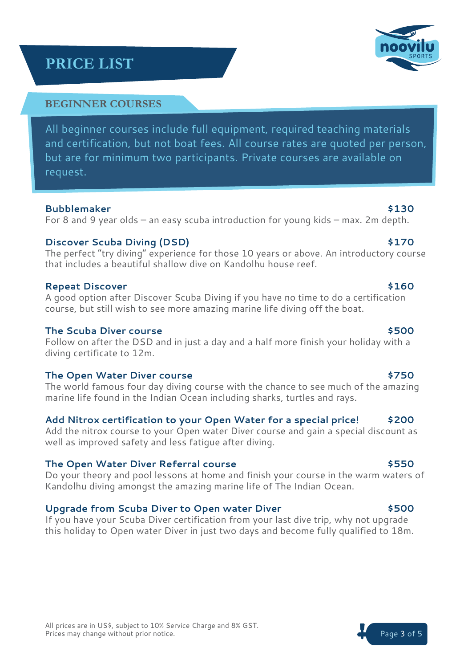### **BEGINNER COURSES**

All beginner courses include full equipment, required teaching materials and certification, but not boat fees. All course rates are quoted per person, but are for minimum two participants. Private courses are available on request.

#### **Bubblemaker \$130**

For 8 and 9 year olds – an easy scuba introduction for young kids – max. 2m depth.

### **Discover Scuba Diving (DSD)** \$170

The perfect "try diving" experience for those 10 years or above. An introductory course that includes a beautiful shallow dive on Kandolhu house reef.

### **Repeat Discover \$160**

A good option after Discover Scuba Diving if you have no time to do a certification course, but still wish to see more amazing marine life diving off the boat.

## **The Scuba Diver course \$500**

Follow on after the DSD and in just a day and a half more finish your holiday with a diving certificate to 12m.

### The Open Water Diver course **800 and 12 and 12 and 12 and 12 and 12 and 12 and 12 and 12 and 12 and 12 and 12 and 12 and 12 and 12 and 12 and 12 and 12 and 12 and 12 and 12 and 12 and 12 and 12 and 12 and 12 and 12 and 12**

The world famous four day diving course with the chance to see much of the amazing marine life found in the Indian Ocean including sharks, turtles and rays.

# **Add Nitrox certification to your Open Water for a special price! \$200**

Add the nitrox course to your Open water Diver course and gain a special discount as well as improved safety and less fatigue after diving.

### **The Open Water Diver Referral course \$550**

Do your theory and pool lessons at home and finish your course in the warm waters of Kandolhu diving amongst the amazing marine life of The Indian Ocean.

# **Upgrade from Scuba Diver to Open water Diver \$500**

If you have your Scuba Diver certification from your last dive trip, why not upgrade this holiday to Open water Diver in just two days and become fully qualified to 18m.



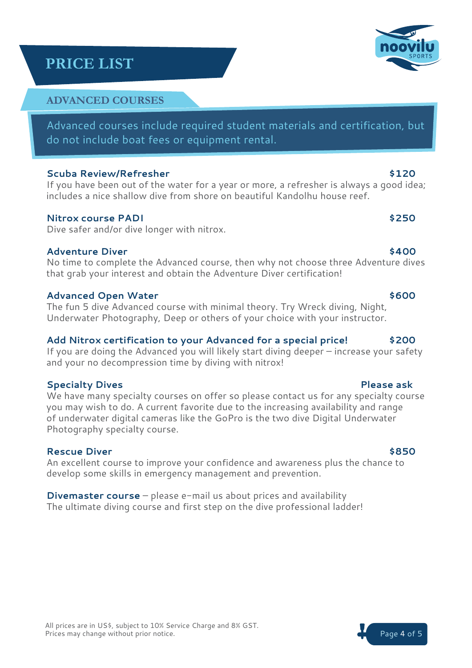# **ADVANCED COURSES**

Advanced courses include required student materials and certification, but do not include boat fees or equipment rental.

## **Scuba Review/Refresher \$120**

If you have been out of the water for a year or more, a refresher is always a good idea; includes a nice shallow dive from shore on beautiful Kandolhu house reef.

## **Nitrox course PADI \$250**

Dive safer and/or dive longer with nitrox.

## **Adventure Diver \$400**

No time to complete the Advanced course, then why not choose three Adventure dives that grab your interest and obtain the Adventure Diver certification!

## **Advanced Open Water \$600**

The fun 5 dive Advanced course with minimal theory. Try Wreck diving, Night, Underwater Photography, Deep or others of your choice with your instructor.

# **Add Nitrox certification to your Advanced for a special price! \$200**

If you are doing the Advanced you will likely start diving deeper – increase your safety and your no decompression time by diving with nitrox!

# **Specialty Dives Please ask**

We have many specialty courses on offer so please contact us for any specialty course you may wish to do. A current favorite due to the increasing availability and range of underwater digital cameras like the GoPro is the two dive Digital Underwater Photography specialty course.

# **Rescue Diver**  $\sim$  8500 **\$850**

An excellent course to improve your confidence and awareness plus the chance to develop some skills in emergency management and prevention.

**Divemaster course** – please e-mail us about prices and availability The ultimate diving course and first step on the dive professional ladder!